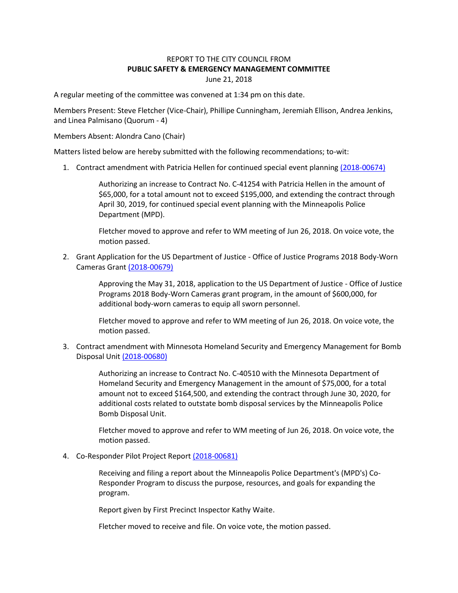## REPORT TO THE CITY COUNCIL FROM **PUBLIC SAFETY & EMERGENCY MANAGEMENT COMMITTEE** June 21, 2018

A regular meeting of the committee was convened at 1:34 pm on this date.

Members Present: Steve Fletcher (Vice-Chair), Phillipe Cunningham, Jeremiah Ellison, Andrea Jenkins, and Linea Palmisano (Quorum - 4)

Members Absent: Alondra Cano (Chair)

Matters listed below are hereby submitted with the following recommendations; to-wit:

1. Contract amendment with Patricia Hellen for continued special event planning [\(2018-00674\)](https://lims.minneapolismn.gov/File/2018-00674)

Authorizing an increase to Contract No. C-41254 with Patricia Hellen in the amount of \$65,000, for a total amount not to exceed \$195,000, and extending the contract through April 30, 2019, for continued special event planning with the Minneapolis Police Department (MPD).

Fletcher moved to approve and refer to WM meeting of Jun 26, 2018. On voice vote, the motion passed.

2. Grant Application for the US Department of Justice - Office of Justice Programs 2018 Body-Worn Cameras Grant [\(2018-00679\)](https://lims.minneapolismn.gov/File/2018-00679)

> Approving the May 31, 2018, application to the US Department of Justice - Office of Justice Programs 2018 Body-Worn Cameras grant program, in the amount of \$600,000, for additional body-worn cameras to equip all sworn personnel.

Fletcher moved to approve and refer to WM meeting of Jun 26, 2018. On voice vote, the motion passed.

3. Contract amendment with Minnesota Homeland Security and Emergency Management for Bomb Disposal Unit [\(2018-00680\)](https://lims.minneapolismn.gov/File/2018-00680)

> Authorizing an increase to Contract No. C-40510 with the Minnesota Department of Homeland Security and Emergency Management in the amount of \$75,000, for a total amount not to exceed \$164,500, and extending the contract through June 30, 2020, for additional costs related to outstate bomb disposal services by the Minneapolis Police Bomb Disposal Unit.

Fletcher moved to approve and refer to WM meeting of Jun 26, 2018. On voice vote, the motion passed.

4. Co-Responder Pilot Project Repor[t \(2018-00681\)](https://lims.minneapolismn.gov/File/2018-00681)

Receiving and filing a report about the Minneapolis Police Department's (MPD's) Co-Responder Program to discuss the purpose, resources, and goals for expanding the program.

Report given by First Precinct Inspector Kathy Waite.

Fletcher moved to receive and file. On voice vote, the motion passed.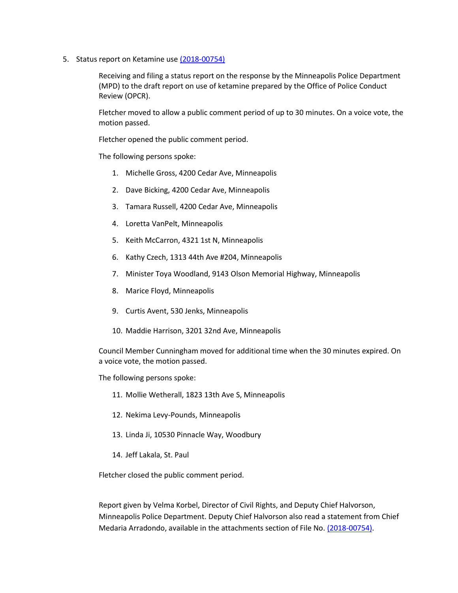5. Status report on Ketamine us[e \(2018-00754\)](https://lims.minneapolismn.gov/File/2018-00754)

Receiving and filing a status report on the response by the Minneapolis Police Department (MPD) to the draft report on use of ketamine prepared by the Office of Police Conduct Review (OPCR).

Fletcher moved to allow a public comment period of up to 30 minutes. On a voice vote, the motion passed.

Fletcher opened the public comment period.

The following persons spoke:

- 1. Michelle Gross, 4200 Cedar Ave, Minneapolis
- 2. Dave Bicking, 4200 Cedar Ave, Minneapolis
- 3. Tamara Russell, 4200 Cedar Ave, Minneapolis
- 4. Loretta VanPelt, Minneapolis
- 5. Keith McCarron, 4321 1st N, Minneapolis
- 6. Kathy Czech, 1313 44th Ave #204, Minneapolis
- 7. Minister Toya Woodland, 9143 Olson Memorial Highway, Minneapolis
- 8. Marice Floyd, Minneapolis
- 9. Curtis Avent, 530 Jenks, Minneapolis
- 10. Maddie Harrison, 3201 32nd Ave, Minneapolis

Council Member Cunningham moved for additional time when the 30 minutes expired. On a voice vote, the motion passed.

The following persons spoke:

- 11. Mollie Wetherall, 1823 13th Ave S, Minneapolis
- 12. Nekima Levy-Pounds, Minneapolis
- 13. Linda Ji, 10530 Pinnacle Way, Woodbury
- 14. Jeff Lakala, St. Paul

Fletcher closed the public comment period.

Report given by Velma Korbel, Director of Civil Rights, and Deputy Chief Halvorson, Minneapolis Police Department. Deputy Chief Halvorson also read a statement from Chief Medaria Arradondo, available in the attachments section of File No. [\(2018-00754\).](https://lims.minneapolismn.gov/File/2018-00754)